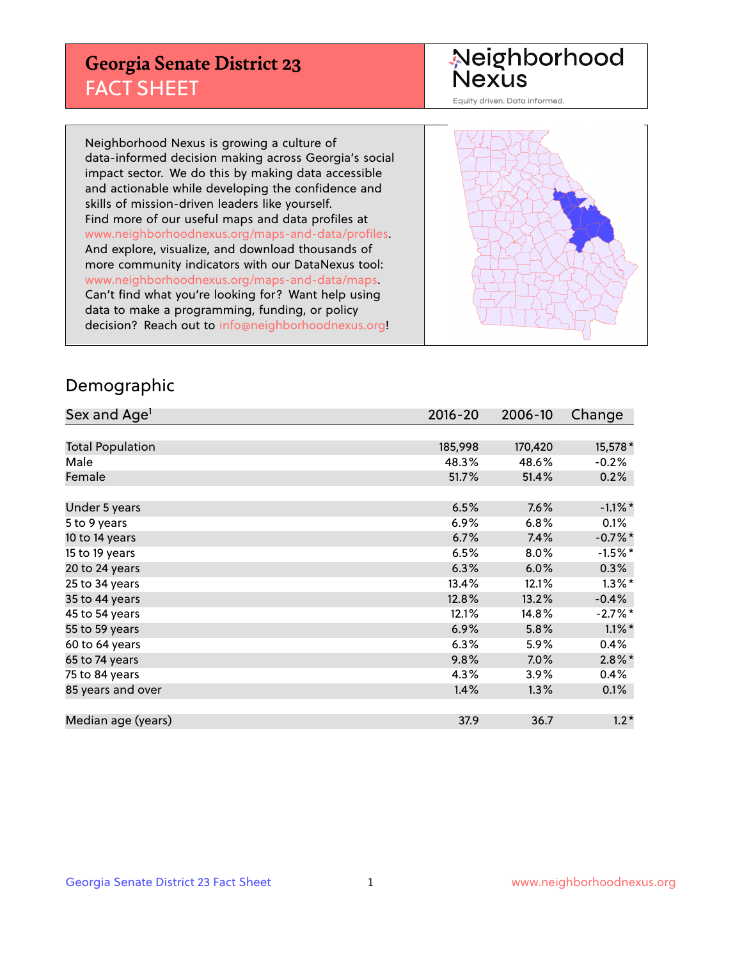## **Georgia Senate District 23** FACT SHEET

# Neighborhood<br>Nexus

Equity driven. Data informed.

Neighborhood Nexus is growing a culture of data-informed decision making across Georgia's social impact sector. We do this by making data accessible and actionable while developing the confidence and skills of mission-driven leaders like yourself. Find more of our useful maps and data profiles at www.neighborhoodnexus.org/maps-and-data/profiles. And explore, visualize, and download thousands of more community indicators with our DataNexus tool: www.neighborhoodnexus.org/maps-and-data/maps. Can't find what you're looking for? Want help using data to make a programming, funding, or policy decision? Reach out to [info@neighborhoodnexus.org!](mailto:info@neighborhoodnexus.org)



### Demographic

| Sex and Age <sup>1</sup> | $2016 - 20$ | 2006-10 | Change     |
|--------------------------|-------------|---------|------------|
|                          |             |         |            |
| <b>Total Population</b>  | 185,998     | 170,420 | 15,578 *   |
| Male                     | 48.3%       | 48.6%   | $-0.2%$    |
| Female                   | 51.7%       | 51.4%   | 0.2%       |
|                          |             |         |            |
| Under 5 years            | 6.5%        | 7.6%    | $-1.1\%$ * |
| 5 to 9 years             | $6.9\%$     | 6.8%    | 0.1%       |
| 10 to 14 years           | 6.7%        | 7.4%    | $-0.7%$ *  |
| 15 to 19 years           | 6.5%        | 8.0%    | $-1.5%$ *  |
| 20 to 24 years           | 6.3%        | 6.0%    | 0.3%       |
| 25 to 34 years           | 13.4%       | 12.1%   | $1.3\%$ *  |
| 35 to 44 years           | 12.8%       | 13.2%   | $-0.4%$    |
| 45 to 54 years           | 12.1%       | 14.8%   | $-2.7\%$ * |
| 55 to 59 years           | 6.9%        | 5.8%    | $1.1\%$ *  |
| 60 to 64 years           | 6.3%        | 5.9%    | 0.4%       |
| 65 to 74 years           | 9.8%        | $7.0\%$ | $2.8\%$ *  |
| 75 to 84 years           | 4.3%        | 3.9%    | $0.4\%$    |
| 85 years and over        | 1.4%        | 1.3%    | 0.1%       |
|                          |             |         |            |
| Median age (years)       | 37.9        | 36.7    | $1.2*$     |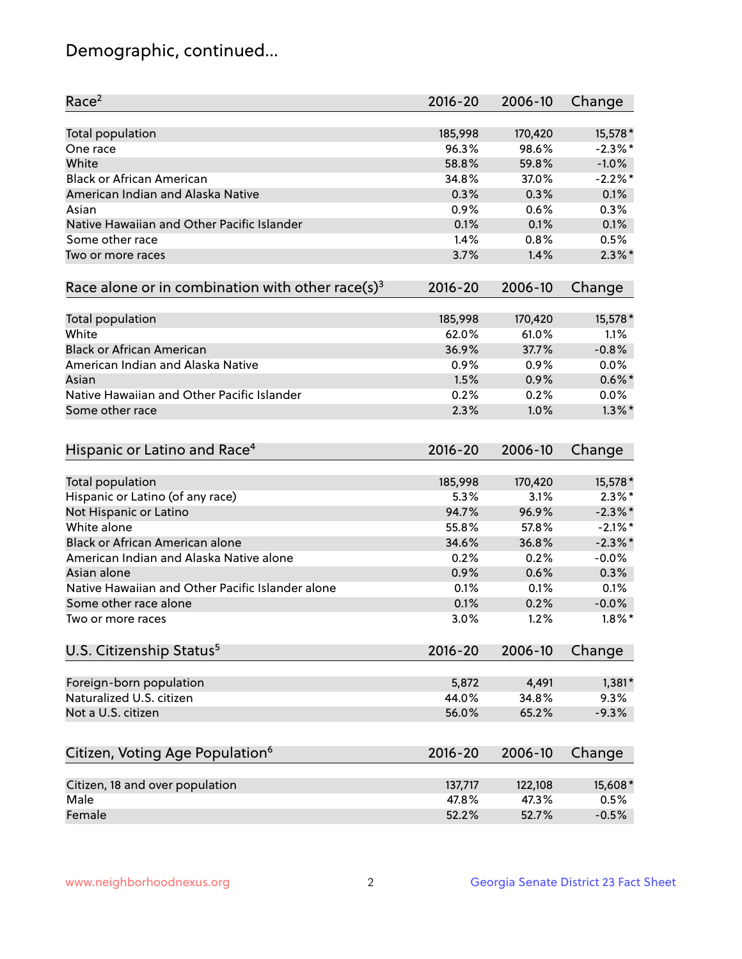## Demographic, continued...

| Race <sup>2</sup>                                            | $2016 - 20$ | 2006-10 | Change     |
|--------------------------------------------------------------|-------------|---------|------------|
| <b>Total population</b>                                      | 185,998     | 170,420 | 15,578 *   |
| One race                                                     | 96.3%       | 98.6%   | $-2.3%$ *  |
| White                                                        | 58.8%       | 59.8%   | $-1.0%$    |
| <b>Black or African American</b>                             | 34.8%       | 37.0%   | $-2.2\%$ * |
| American Indian and Alaska Native                            | 0.3%        | 0.3%    | 0.1%       |
| Asian                                                        | 0.9%        | 0.6%    | 0.3%       |
| Native Hawaiian and Other Pacific Islander                   | 0.1%        | 0.1%    | 0.1%       |
| Some other race                                              | 1.4%        | 0.8%    | 0.5%       |
| Two or more races                                            | 3.7%        | 1.4%    | $2.3\%$ *  |
| Race alone or in combination with other race(s) <sup>3</sup> | $2016 - 20$ | 2006-10 | Change     |
|                                                              |             |         |            |
| Total population                                             | 185,998     | 170,420 | 15,578 *   |
| White                                                        | 62.0%       | 61.0%   | 1.1%       |
| <b>Black or African American</b>                             | 36.9%       | 37.7%   | $-0.8%$    |
| American Indian and Alaska Native                            | 0.9%        | 0.9%    | 0.0%       |
| Asian                                                        | 1.5%        | 0.9%    | $0.6\%$ *  |
| Native Hawaiian and Other Pacific Islander                   | 0.2%        | 0.2%    | 0.0%       |
| Some other race                                              | 2.3%        | 1.0%    | $1.3\%$ *  |
| Hispanic or Latino and Race <sup>4</sup>                     | $2016 - 20$ | 2006-10 | Change     |
| Total population                                             | 185,998     | 170,420 | 15,578 *   |
| Hispanic or Latino (of any race)                             | 5.3%        | 3.1%    | $2.3\%$ *  |
| Not Hispanic or Latino                                       | 94.7%       | 96.9%   | $-2.3\%$ * |
| White alone                                                  | 55.8%       | 57.8%   | $-2.1\%$ * |
| <b>Black or African American alone</b>                       | 34.6%       | 36.8%   | $-2.3\%$ * |
| American Indian and Alaska Native alone                      | 0.2%        | 0.2%    | $-0.0%$    |
| Asian alone                                                  | 0.9%        | 0.6%    | 0.3%       |
| Native Hawaiian and Other Pacific Islander alone             | 0.1%        | 0.1%    | 0.1%       |
| Some other race alone                                        | 0.1%        | 0.2%    | $-0.0%$    |
| Two or more races                                            | 3.0%        | 1.2%    | $1.8\%$ *  |
| U.S. Citizenship Status <sup>5</sup>                         | $2016 - 20$ | 2006-10 | Change     |
|                                                              |             |         |            |
| Foreign-born population                                      | 5,872       | 4,491   | $1,381*$   |
| Naturalized U.S. citizen                                     | 44.0%       | 34.8%   | 9.3%       |
| Not a U.S. citizen                                           | 56.0%       | 65.2%   | $-9.3%$    |
| Citizen, Voting Age Population <sup>6</sup>                  | $2016 - 20$ | 2006-10 | Change     |
|                                                              |             |         |            |
| Citizen, 18 and over population                              | 137,717     | 122,108 | 15,608*    |
| Male                                                         | 47.8%       | 47.3%   | 0.5%       |
| Female                                                       | 52.2%       | 52.7%   | $-0.5%$    |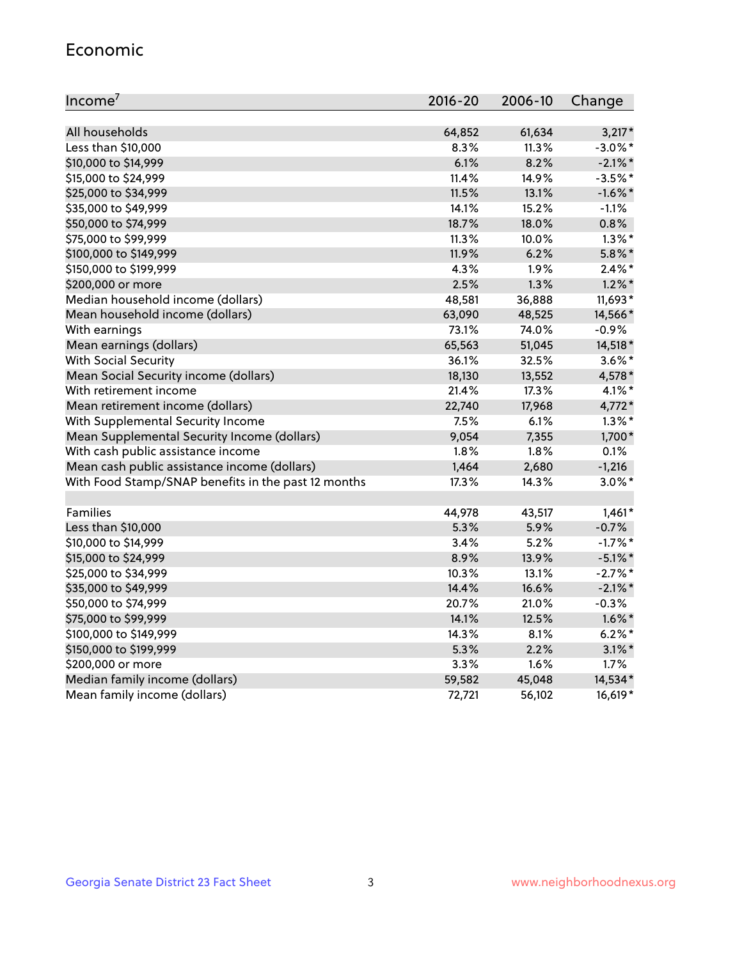#### Economic

| Income <sup>7</sup>                                 | 2016-20 | 2006-10 | Change     |
|-----------------------------------------------------|---------|---------|------------|
|                                                     |         |         |            |
| All households                                      | 64,852  | 61,634  | $3,217*$   |
| Less than \$10,000                                  | 8.3%    | 11.3%   | $-3.0\%$ * |
| \$10,000 to \$14,999                                | 6.1%    | 8.2%    | $-2.1\%$ * |
| \$15,000 to \$24,999                                | 11.4%   | 14.9%   | $-3.5%$ *  |
| \$25,000 to \$34,999                                | 11.5%   | 13.1%   | $-1.6\%$ * |
| \$35,000 to \$49,999                                | 14.1%   | 15.2%   | $-1.1%$    |
| \$50,000 to \$74,999                                | 18.7%   | 18.0%   | 0.8%       |
| \$75,000 to \$99,999                                | 11.3%   | 10.0%   | $1.3\%$ *  |
| \$100,000 to \$149,999                              | 11.9%   | 6.2%    | $5.8\%$ *  |
| \$150,000 to \$199,999                              | 4.3%    | 1.9%    | $2.4\%$ *  |
| \$200,000 or more                                   | 2.5%    | 1.3%    | $1.2\%$ *  |
| Median household income (dollars)                   | 48,581  | 36,888  | 11,693*    |
| Mean household income (dollars)                     | 63,090  | 48,525  | 14,566*    |
| With earnings                                       | 73.1%   | 74.0%   | $-0.9%$    |
| Mean earnings (dollars)                             | 65,563  | 51,045  | 14,518 *   |
| <b>With Social Security</b>                         | 36.1%   | 32.5%   | $3.6\%$ *  |
| Mean Social Security income (dollars)               | 18,130  | 13,552  | 4,578*     |
| With retirement income                              | 21.4%   | 17.3%   | $4.1\%$ *  |
| Mean retirement income (dollars)                    | 22,740  | 17,968  | 4,772*     |
| With Supplemental Security Income                   | 7.5%    | 6.1%    | $1.3\%$ *  |
| Mean Supplemental Security Income (dollars)         | 9,054   | 7,355   | 1,700*     |
| With cash public assistance income                  | 1.8%    | 1.8%    | 0.1%       |
| Mean cash public assistance income (dollars)        | 1,464   | 2,680   | $-1,216$   |
| With Food Stamp/SNAP benefits in the past 12 months | 17.3%   | 14.3%   | $3.0\%$ *  |
|                                                     |         |         |            |
| Families                                            | 44,978  | 43,517  | $1,461*$   |
| Less than \$10,000                                  | 5.3%    | 5.9%    | $-0.7%$    |
| \$10,000 to \$14,999                                | 3.4%    | 5.2%    | $-1.7%$ *  |
| \$15,000 to \$24,999                                | 8.9%    | 13.9%   | $-5.1\%$ * |
| \$25,000 to \$34,999                                | 10.3%   | 13.1%   | $-2.7%$ *  |
| \$35,000 to \$49,999                                | 14.4%   | 16.6%   | $-2.1\%$ * |
| \$50,000 to \$74,999                                | 20.7%   | 21.0%   | $-0.3%$    |
| \$75,000 to \$99,999                                | 14.1%   | 12.5%   | $1.6\%$ *  |
| \$100,000 to \$149,999                              | 14.3%   | 8.1%    | $6.2%$ *   |
| \$150,000 to \$199,999                              | 5.3%    | 2.2%    | $3.1\%$ *  |
| \$200,000 or more                                   | 3.3%    | 1.6%    | 1.7%       |
| Median family income (dollars)                      | 59,582  | 45,048  | 14,534*    |
| Mean family income (dollars)                        | 72,721  | 56,102  | 16,619*    |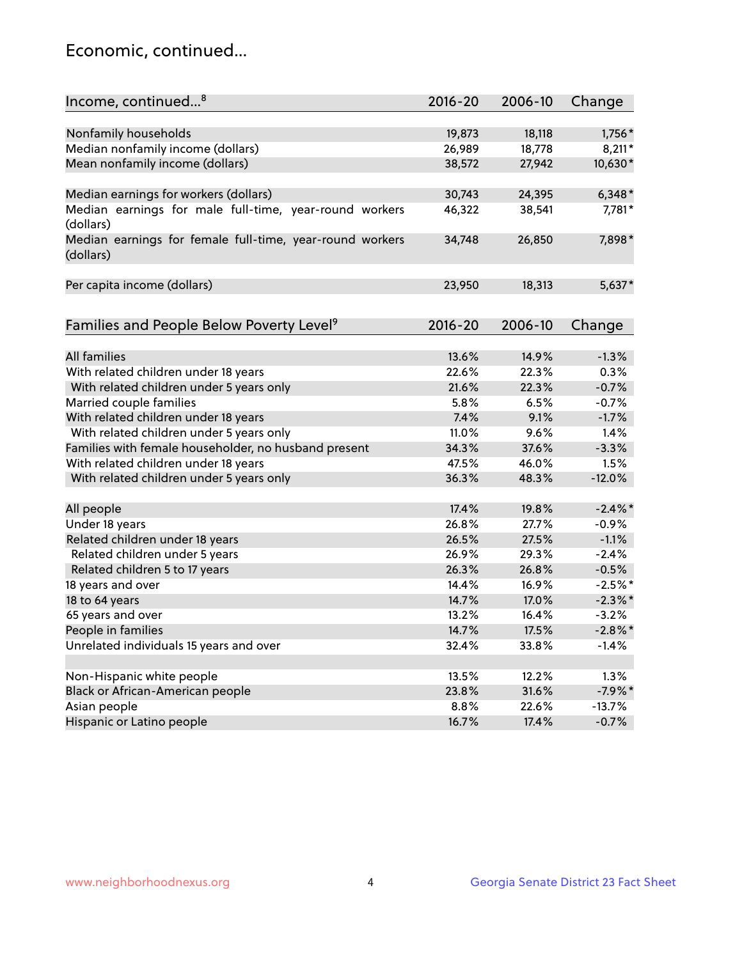## Economic, continued...

| Income, continued <sup>8</sup>                           | $2016 - 20$ | 2006-10 | Change     |
|----------------------------------------------------------|-------------|---------|------------|
|                                                          |             |         |            |
| Nonfamily households                                     | 19,873      | 18,118  | 1,756*     |
| Median nonfamily income (dollars)                        | 26,989      | 18,778  | $8,211*$   |
| Mean nonfamily income (dollars)                          | 38,572      | 27,942  | 10,630*    |
|                                                          |             |         |            |
| Median earnings for workers (dollars)                    | 30,743      | 24,395  | $6,348*$   |
| Median earnings for male full-time, year-round workers   | 46,322      | 38,541  | 7,781*     |
| (dollars)                                                |             |         |            |
| Median earnings for female full-time, year-round workers | 34,748      | 26,850  | 7,898*     |
| (dollars)                                                |             |         |            |
|                                                          |             |         |            |
| Per capita income (dollars)                              | 23,950      | 18,313  | $5,637*$   |
|                                                          |             |         |            |
| Families and People Below Poverty Level <sup>9</sup>     | $2016 - 20$ | 2006-10 | Change     |
|                                                          |             |         |            |
| <b>All families</b>                                      | 13.6%       | 14.9%   | $-1.3%$    |
| With related children under 18 years                     | 22.6%       | 22.3%   | 0.3%       |
| With related children under 5 years only                 | 21.6%       | 22.3%   | $-0.7%$    |
| Married couple families                                  | 5.8%        | 6.5%    | $-0.7%$    |
| With related children under 18 years                     | 7.4%        | 9.1%    | $-1.7%$    |
| With related children under 5 years only                 | 11.0%       | 9.6%    | 1.4%       |
| Families with female householder, no husband present     | 34.3%       | 37.6%   | $-3.3%$    |
| With related children under 18 years                     | 47.5%       | 46.0%   | 1.5%       |
| With related children under 5 years only                 | 36.3%       | 48.3%   | $-12.0%$   |
|                                                          |             |         |            |
| All people                                               | 17.4%       | 19.8%   | $-2.4\%$   |
| Under 18 years                                           | 26.8%       | 27.7%   | $-0.9%$    |
| Related children under 18 years                          | 26.5%       | 27.5%   | $-1.1%$    |
| Related children under 5 years                           | 26.9%       | 29.3%   | $-2.4%$    |
| Related children 5 to 17 years                           | 26.3%       | 26.8%   | $-0.5%$    |
| 18 years and over                                        | 14.4%       | 16.9%   | $-2.5%$ *  |
| 18 to 64 years                                           | 14.7%       | 17.0%   | $-2.3\%$ * |
| 65 years and over                                        | 13.2%       | 16.4%   | $-3.2%$    |
| People in families                                       | 14.7%       | 17.5%   | $-2.8\%$ * |
| Unrelated individuals 15 years and over                  | 32.4%       | 33.8%   | $-1.4%$    |
|                                                          |             |         |            |
| Non-Hispanic white people                                | 13.5%       | 12.2%   | 1.3%       |
| Black or African-American people                         | 23.8%       | 31.6%   | $-7.9%$ *  |
| Asian people                                             | 8.8%        | 22.6%   | $-13.7%$   |
| Hispanic or Latino people                                | 16.7%       | 17.4%   | $-0.7%$    |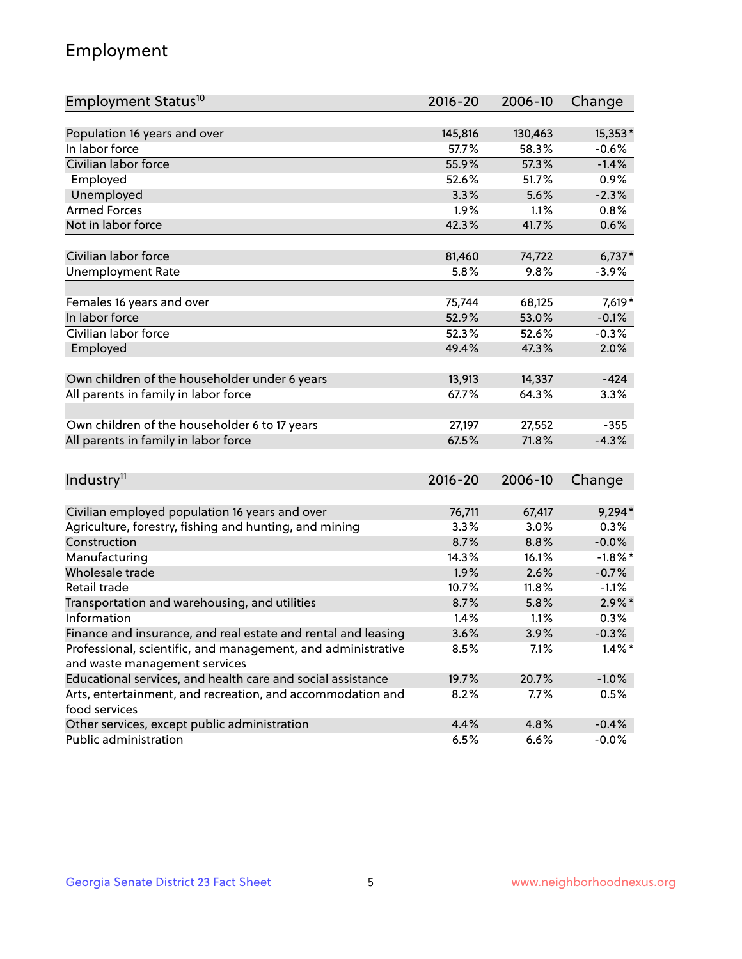## Employment

| Employment Status <sup>10</sup>                                             | $2016 - 20$ | 2006-10 | Change     |
|-----------------------------------------------------------------------------|-------------|---------|------------|
|                                                                             |             |         |            |
| Population 16 years and over                                                | 145,816     | 130,463 | 15,353*    |
| In labor force                                                              | 57.7%       | 58.3%   | $-0.6%$    |
| Civilian labor force                                                        | 55.9%       | 57.3%   | $-1.4%$    |
| Employed                                                                    | 52.6%       | 51.7%   | 0.9%       |
| Unemployed                                                                  | 3.3%        | 5.6%    | $-2.3%$    |
| <b>Armed Forces</b>                                                         | 1.9%        | 1.1%    | 0.8%       |
| Not in labor force                                                          | 42.3%       | 41.7%   | 0.6%       |
|                                                                             |             |         |            |
| Civilian labor force                                                        | 81,460      | 74,722  | $6,737*$   |
| <b>Unemployment Rate</b>                                                    | 5.8%        | 9.8%    | $-3.9%$    |
| Females 16 years and over                                                   | 75,744      | 68,125  | 7,619*     |
| In labor force                                                              | 52.9%       | 53.0%   | $-0.1%$    |
| Civilian labor force                                                        | 52.3%       | 52.6%   | $-0.3%$    |
| Employed                                                                    | 49.4%       | 47.3%   | 2.0%       |
|                                                                             |             |         |            |
| Own children of the householder under 6 years                               | 13,913      | 14,337  | $-424$     |
| All parents in family in labor force                                        | 67.7%       | 64.3%   | 3.3%       |
|                                                                             |             |         |            |
| Own children of the householder 6 to 17 years                               | 27,197      | 27,552  | $-355$     |
| All parents in family in labor force                                        | 67.5%       | 71.8%   | $-4.3%$    |
|                                                                             |             |         |            |
| Industry <sup>11</sup>                                                      | $2016 - 20$ | 2006-10 | Change     |
|                                                                             |             |         |            |
| Civilian employed population 16 years and over                              | 76,711      | 67,417  | $9,294*$   |
| Agriculture, forestry, fishing and hunting, and mining                      | 3.3%        | 3.0%    | 0.3%       |
| Construction                                                                | 8.7%        | 8.8%    | $-0.0%$    |
| Manufacturing                                                               | 14.3%       | 16.1%   | $-1.8\%$ * |
| Wholesale trade                                                             | 1.9%        | 2.6%    | $-0.7%$    |
| Retail trade                                                                | 10.7%       | 11.8%   | $-1.1%$    |
| Transportation and warehousing, and utilities                               | 8.7%        | 5.8%    | $2.9\%$ *  |
| Information                                                                 | 1.4%        | 1.1%    | 0.3%       |
| Finance and insurance, and real estate and rental and leasing               | 3.6%        | 3.9%    | $-0.3%$    |
| Professional, scientific, and management, and administrative                | 8.5%        | 7.1%    | $1.4\%$ *  |
| and waste management services                                               |             |         |            |
| Educational services, and health care and social assistance                 | 19.7%       | 20.7%   | $-1.0%$    |
| Arts, entertainment, and recreation, and accommodation and<br>food services | 8.2%        | 7.7%    | 0.5%       |
| Other services, except public administration                                | 4.4%        | 4.8%    | $-0.4%$    |
| Public administration                                                       | 6.5%        | 6.6%    | $-0.0%$    |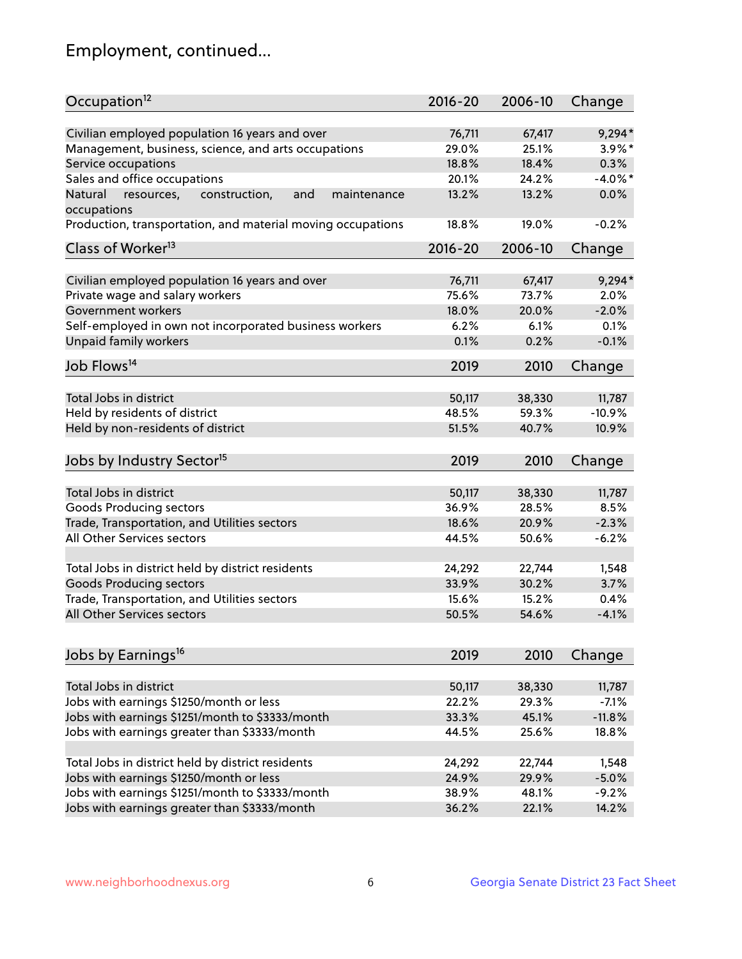## Employment, continued...

| Occupation <sup>12</sup>                                    | $2016 - 20$ | 2006-10 | Change     |
|-------------------------------------------------------------|-------------|---------|------------|
| Civilian employed population 16 years and over              | 76,711      | 67,417  | $9,294*$   |
| Management, business, science, and arts occupations         | 29.0%       | 25.1%   | $3.9\%$ *  |
| Service occupations                                         | 18.8%       | 18.4%   | 0.3%       |
| Sales and office occupations                                | 20.1%       | 24.2%   | $-4.0\%$ * |
| and<br>maintenance<br>Natural                               | 13.2%       | 13.2%   | 0.0%       |
| resources,<br>construction,<br>occupations                  |             |         |            |
| Production, transportation, and material moving occupations | 18.8%       | 19.0%   | $-0.2%$    |
| Class of Worker <sup>13</sup>                               | $2016 - 20$ | 2006-10 | Change     |
| Civilian employed population 16 years and over              | 76,711      | 67,417  | $9,294*$   |
| Private wage and salary workers                             | 75.6%       | 73.7%   | 2.0%       |
| Government workers                                          | 18.0%       | 20.0%   | $-2.0%$    |
| Self-employed in own not incorporated business workers      | 6.2%        | 6.1%    | 0.1%       |
| Unpaid family workers                                       | 0.1%        | 0.2%    | $-0.1%$    |
|                                                             |             |         |            |
| Job Flows <sup>14</sup>                                     | 2019        | 2010    | Change     |
| Total Jobs in district                                      | 50,117      | 38,330  | 11,787     |
| Held by residents of district                               | 48.5%       | 59.3%   | $-10.9%$   |
| Held by non-residents of district                           | 51.5%       | 40.7%   | 10.9%      |
|                                                             |             |         |            |
| Jobs by Industry Sector <sup>15</sup>                       | 2019        | 2010    | Change     |
| Total Jobs in district                                      | 50,117      | 38,330  | 11,787     |
|                                                             | 36.9%       | 28.5%   | 8.5%       |
| Goods Producing sectors                                     |             |         | $-2.3%$    |
| Trade, Transportation, and Utilities sectors                | 18.6%       | 20.9%   |            |
| All Other Services sectors                                  | 44.5%       | 50.6%   | $-6.2%$    |
| Total Jobs in district held by district residents           | 24,292      | 22,744  | 1,548      |
| <b>Goods Producing sectors</b>                              | 33.9%       | 30.2%   | 3.7%       |
| Trade, Transportation, and Utilities sectors                | 15.6%       | 15.2%   | 0.4%       |
| All Other Services sectors                                  | 50.5%       | 54.6%   | $-4.1%$    |
|                                                             |             |         |            |
| Jobs by Earnings <sup>16</sup>                              | 2019        | 2010    | Change     |
|                                                             |             |         |            |
| Total Jobs in district                                      | 50,117      | 38,330  | 11,787     |
| Jobs with earnings \$1250/month or less                     | 22.2%       | 29.3%   | $-7.1%$    |
| Jobs with earnings \$1251/month to \$3333/month             | 33.3%       | 45.1%   | $-11.8%$   |
| Jobs with earnings greater than \$3333/month                | 44.5%       | 25.6%   | 18.8%      |
| Total Jobs in district held by district residents           | 24,292      | 22,744  | 1,548      |
| Jobs with earnings \$1250/month or less                     | 24.9%       | 29.9%   | $-5.0%$    |
| Jobs with earnings \$1251/month to \$3333/month             | 38.9%       | 48.1%   | $-9.2%$    |
| Jobs with earnings greater than \$3333/month                | 36.2%       | 22.1%   | 14.2%      |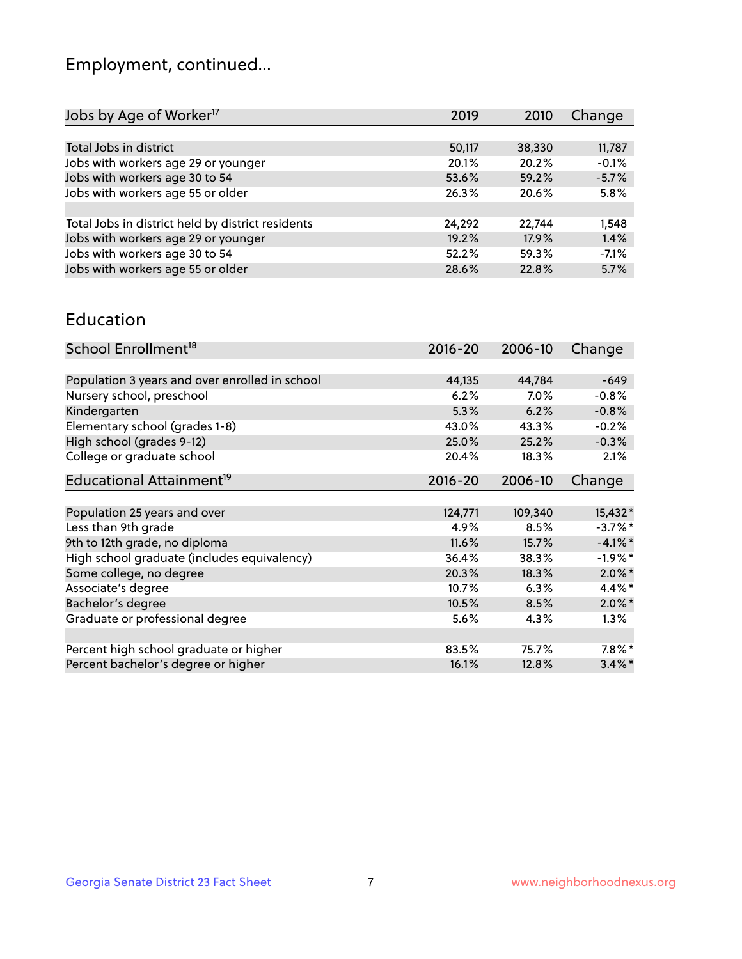## Employment, continued...

| Jobs by Age of Worker <sup>17</sup>               | 2019   | 2010   | Change  |
|---------------------------------------------------|--------|--------|---------|
|                                                   |        |        |         |
| Total Jobs in district                            | 50,117 | 38,330 | 11,787  |
| Jobs with workers age 29 or younger               | 20.1%  | 20.2%  | $-0.1%$ |
| Jobs with workers age 30 to 54                    | 53.6%  | 59.2%  | $-5.7%$ |
| Jobs with workers age 55 or older                 | 26.3%  | 20.6%  | 5.8%    |
|                                                   |        |        |         |
| Total Jobs in district held by district residents | 24,292 | 22.744 | 1,548   |
| Jobs with workers age 29 or younger               | 19.2%  | 17.9%  | 1.4%    |
| Jobs with workers age 30 to 54                    | 52.2%  | 59.3%  | $-7.1%$ |
| Jobs with workers age 55 or older                 | 28.6%  | 22.8%  | 5.7%    |
|                                                   |        |        |         |

#### Education

| School Enrollment <sup>18</sup>                | $2016 - 20$ | 2006-10 | Change     |
|------------------------------------------------|-------------|---------|------------|
|                                                |             |         |            |
| Population 3 years and over enrolled in school | 44,135      | 44,784  | $-649$     |
| Nursery school, preschool                      | 6.2%        | $7.0\%$ | $-0.8%$    |
| Kindergarten                                   | 5.3%        | 6.2%    | $-0.8%$    |
| Elementary school (grades 1-8)                 | 43.0%       | 43.3%   | $-0.2%$    |
| High school (grades 9-12)                      | 25.0%       | 25.2%   | $-0.3%$    |
| College or graduate school                     | 20.4%       | 18.3%   | 2.1%       |
| Educational Attainment <sup>19</sup>           | $2016 - 20$ | 2006-10 | Change     |
|                                                |             |         |            |
| Population 25 years and over                   | 124,771     | 109,340 | 15,432*    |
| Less than 9th grade                            | 4.9%        | 8.5%    | $-3.7\%$ * |
| 9th to 12th grade, no diploma                  | 11.6%       | 15.7%   | $-4.1\%$ * |
| High school graduate (includes equivalency)    | 36.4%       | 38.3%   | $-1.9%$ *  |
| Some college, no degree                        | 20.3%       | 18.3%   | $2.0\%$ *  |
| Associate's degree                             | 10.7%       | 6.3%    | 4.4%*      |
| Bachelor's degree                              | 10.5%       | 8.5%    | $2.0\%$ *  |
| Graduate or professional degree                | 5.6%        | 4.3%    | $1.3\%$    |
|                                                |             |         |            |
| Percent high school graduate or higher         | 83.5%       | 75.7%   | $7.8\%$ *  |
| Percent bachelor's degree or higher            | 16.1%       | 12.8%   | $3.4\%$ *  |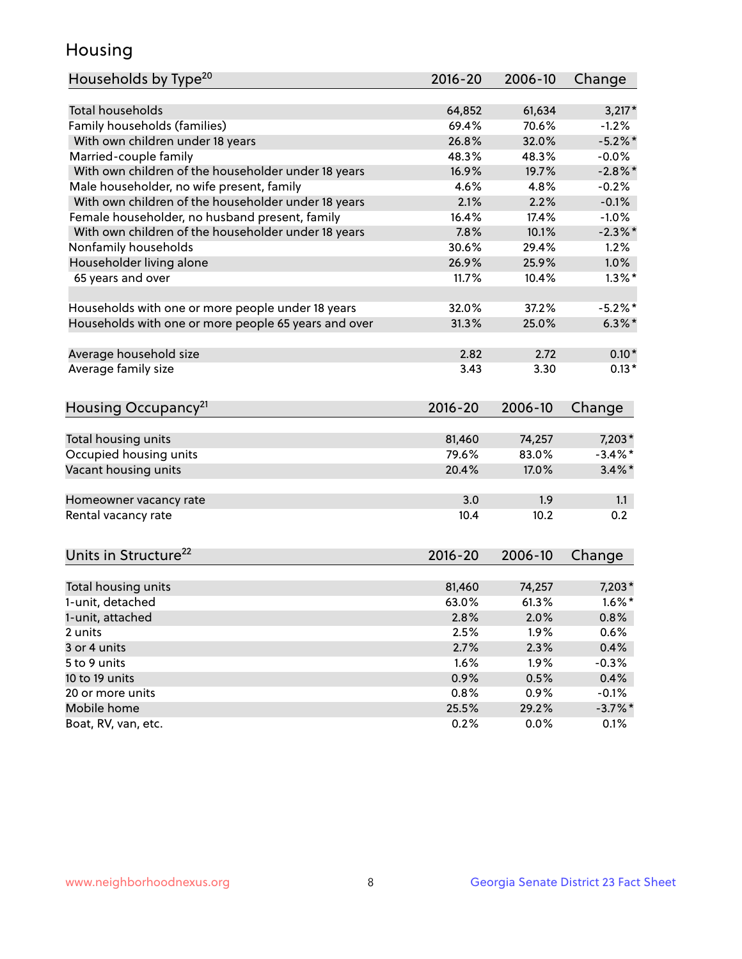## Housing

| Households by Type <sup>20</sup>                     | 2016-20     | 2006-10 | Change     |
|------------------------------------------------------|-------------|---------|------------|
|                                                      |             |         |            |
| <b>Total households</b>                              | 64,852      | 61,634  | $3,217*$   |
| Family households (families)                         | 69.4%       | 70.6%   | $-1.2%$    |
| With own children under 18 years                     | 26.8%       | 32.0%   | $-5.2\%$ * |
| Married-couple family                                | 48.3%       | 48.3%   | $-0.0%$    |
| With own children of the householder under 18 years  | 16.9%       | 19.7%   | $-2.8\%$ * |
| Male householder, no wife present, family            | 4.6%        | 4.8%    | $-0.2%$    |
| With own children of the householder under 18 years  | 2.1%        | 2.2%    | $-0.1%$    |
| Female householder, no husband present, family       | 16.4%       | 17.4%   | $-1.0%$    |
| With own children of the householder under 18 years  | 7.8%        | 10.1%   | $-2.3\%$ * |
| Nonfamily households                                 | 30.6%       | 29.4%   | 1.2%       |
| Householder living alone                             | 26.9%       | 25.9%   | 1.0%       |
| 65 years and over                                    | 11.7%       | 10.4%   | $1.3\%$ *  |
|                                                      |             |         |            |
| Households with one or more people under 18 years    | 32.0%       | 37.2%   | $-5.2%$ *  |
| Households with one or more people 65 years and over | 31.3%       | 25.0%   | $6.3\%$ *  |
| Average household size                               | 2.82        | 2.72    | $0.10*$    |
| Average family size                                  | 3.43        | 3.30    | $0.13*$    |
|                                                      |             |         |            |
| Housing Occupancy <sup>21</sup>                      | $2016 - 20$ | 2006-10 | Change     |
|                                                      |             |         |            |
| Total housing units                                  | 81,460      | 74,257  | $7,203*$   |
| Occupied housing units                               | 79.6%       | 83.0%   | $-3.4\%$ * |
| Vacant housing units                                 | 20.4%       | 17.0%   | $3.4\%$ *  |
| Homeowner vacancy rate                               | 3.0         | 1.9     | 1.1        |
| Rental vacancy rate                                  | 10.4        | 10.2    | 0.2        |
|                                                      |             |         |            |
| Units in Structure <sup>22</sup>                     | $2016 - 20$ | 2006-10 | Change     |
|                                                      |             |         |            |
| Total housing units                                  | 81,460      | 74,257  | $7,203*$   |
| 1-unit, detached                                     | 63.0%       | 61.3%   | $1.6\%$ *  |
| 1-unit, attached                                     | 2.8%        | 2.0%    | 0.8%       |
| 2 units                                              | 2.5%        | 1.9%    | 0.6%       |
| 3 or 4 units                                         | 2.7%        | 2.3%    | 0.4%       |
| 5 to 9 units                                         | 1.6%        | 1.9%    | $-0.3%$    |
| 10 to 19 units                                       | 0.9%        | 0.5%    | 0.4%       |
| 20 or more units                                     | 0.8%        | 0.9%    | $-0.1%$    |
| Mobile home                                          | 25.5%       | 29.2%   | $-3.7\%$ * |
| Boat, RV, van, etc.                                  | 0.2%        | 0.0%    | 0.1%       |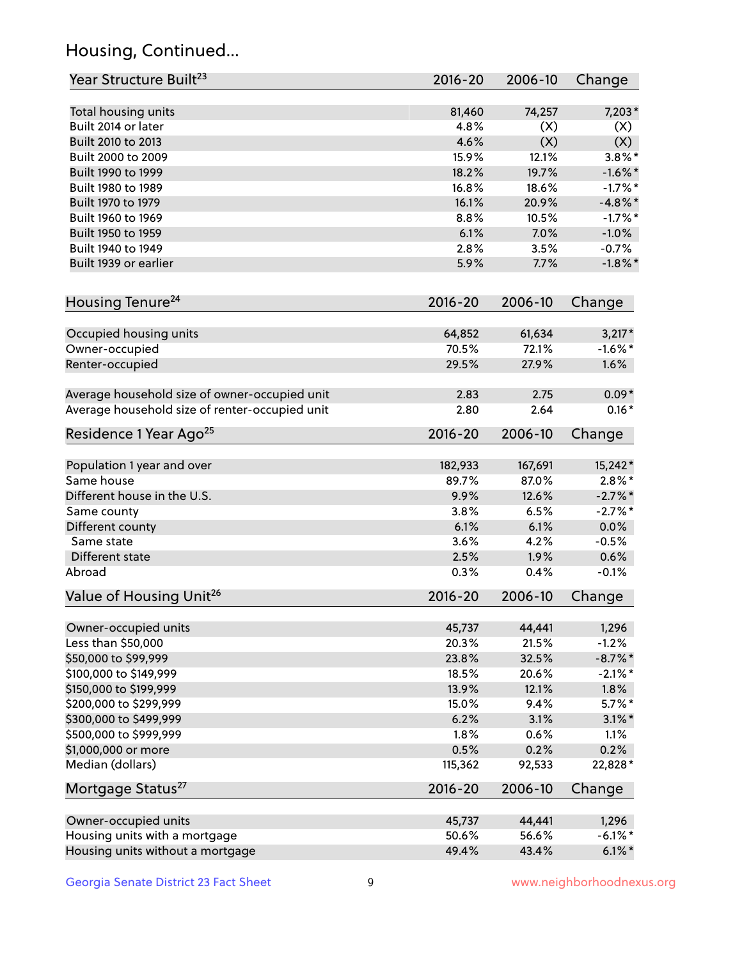## Housing, Continued...

| Year Structure Built <sup>23</sup>             | 2016-20     | 2006-10 | Change     |
|------------------------------------------------|-------------|---------|------------|
| Total housing units                            | 81,460      | 74,257  | $7,203*$   |
| Built 2014 or later                            | 4.8%        | (X)     | (X)        |
| Built 2010 to 2013                             | 4.6%        | (X)     | (X)        |
| Built 2000 to 2009                             | 15.9%       | 12.1%   | $3.8\%$ *  |
| Built 1990 to 1999                             | 18.2%       | 19.7%   | $-1.6\%$ * |
| Built 1980 to 1989                             | 16.8%       | 18.6%   | $-1.7%$ *  |
| Built 1970 to 1979                             | 16.1%       | 20.9%   | $-4.8\%$ * |
| Built 1960 to 1969                             | 8.8%        | 10.5%   | $-1.7%$ *  |
| Built 1950 to 1959                             | 6.1%        | 7.0%    | $-1.0%$    |
| Built 1940 to 1949                             | 2.8%        | 3.5%    | $-0.7%$    |
| Built 1939 or earlier                          | 5.9%        | 7.7%    | $-1.8\%$ * |
|                                                |             |         |            |
| Housing Tenure <sup>24</sup>                   | $2016 - 20$ | 2006-10 | Change     |
| Occupied housing units                         | 64,852      | 61,634  | $3,217*$   |
| Owner-occupied                                 | 70.5%       | 72.1%   | $-1.6\%$ * |
| Renter-occupied                                | 29.5%       | 27.9%   | 1.6%       |
| Average household size of owner-occupied unit  | 2.83        | 2.75    | $0.09*$    |
| Average household size of renter-occupied unit | 2.80        | 2.64    | $0.16*$    |
| Residence 1 Year Ago <sup>25</sup>             | $2016 - 20$ | 2006-10 | Change     |
| Population 1 year and over                     | 182,933     | 167,691 | 15,242*    |
| Same house                                     | 89.7%       | 87.0%   | $2.8\%$ *  |
| Different house in the U.S.                    | 9.9%        | 12.6%   | $-2.7\%$ * |
| Same county                                    | 3.8%        | 6.5%    | $-2.7%$ *  |
| Different county                               | 6.1%        | 6.1%    | 0.0%       |
| Same state                                     | 3.6%        | 4.2%    | $-0.5%$    |
| Different state                                | 2.5%        | 1.9%    | 0.6%       |
| Abroad                                         | 0.3%        | 0.4%    | $-0.1%$    |
|                                                |             |         |            |
| Value of Housing Unit <sup>26</sup>            | $2016 - 20$ | 2006-10 | Change     |
| Owner-occupied units                           | 45,737      | 44,441  | 1,296      |
| Less than \$50,000                             | 20.3%       | 21.5%   | $-1.2%$    |
| \$50,000 to \$99,999                           | 23.8%       | 32.5%   | $-8.7\%$ * |
| \$100,000 to \$149,999                         | 18.5%       | 20.6%   | $-2.1\%$ * |
| \$150,000 to \$199,999                         | 13.9%       | 12.1%   | 1.8%       |
| \$200,000 to \$299,999                         | 15.0%       | 9.4%    | $5.7\%$ *  |
| \$300,000 to \$499,999                         | 6.2%        | 3.1%    | $3.1\%$ *  |
| \$500,000 to \$999,999                         | 1.8%        | 0.6%    | 1.1%       |
| \$1,000,000 or more                            | 0.5%        | 0.2%    | 0.2%       |
| Median (dollars)                               | 115,362     | 92,533  | 22,828*    |
| Mortgage Status <sup>27</sup>                  | $2016 - 20$ | 2006-10 | Change     |
|                                                |             |         |            |
| Owner-occupied units                           | 45,737      | 44,441  | 1,296      |
| Housing units with a mortgage                  | 50.6%       | 56.6%   | $-6.1\%$ * |
| Housing units without a mortgage               | 49.4%       | 43.4%   | $6.1\%$ *  |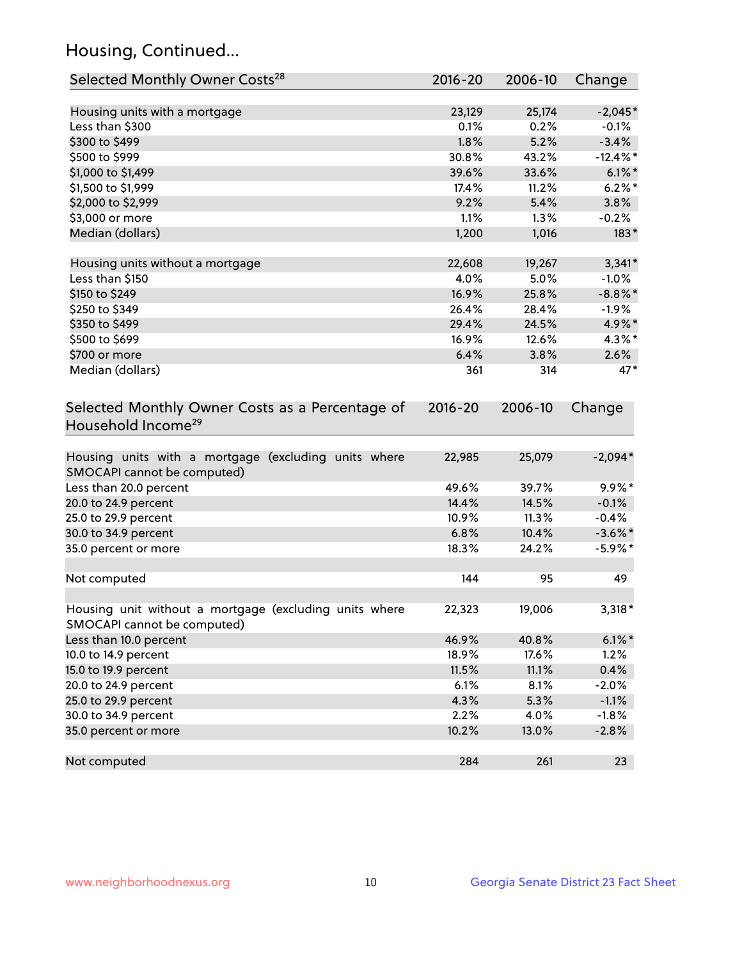## Housing, Continued...

| Selected Monthly Owner Costs <sup>28</sup>                                            | $2016 - 20$ | 2006-10 | Change      |
|---------------------------------------------------------------------------------------|-------------|---------|-------------|
| Housing units with a mortgage                                                         | 23,129      | 25,174  | $-2,045*$   |
| Less than \$300                                                                       | 0.1%        | 0.2%    | $-0.1%$     |
| \$300 to \$499                                                                        | 1.8%        | 5.2%    | $-3.4%$     |
| \$500 to \$999                                                                        | 30.8%       | 43.2%   | $-12.4\%$ * |
| \$1,000 to \$1,499                                                                    | 39.6%       | 33.6%   | $6.1\%$ *   |
| \$1,500 to \$1,999                                                                    | 17.4%       | 11.2%   | $6.2\%$ *   |
| \$2,000 to \$2,999                                                                    | 9.2%        | 5.4%    | 3.8%        |
| \$3,000 or more                                                                       | 1.1%        | $1.3\%$ | $-0.2%$     |
| Median (dollars)                                                                      | 1,200       | 1,016   | $183*$      |
| Housing units without a mortgage                                                      | 22,608      | 19,267  | $3,341*$    |
| Less than \$150                                                                       | 4.0%        | 5.0%    | $-1.0%$     |
| \$150 to \$249                                                                        | 16.9%       | 25.8%   | $-8.8\%$ *  |
| \$250 to \$349                                                                        | 26.4%       | 28.4%   | $-1.9\%$    |
| \$350 to \$499                                                                        | 29.4%       | 24.5%   | 4.9%*       |
| \$500 to \$699                                                                        | 16.9%       | 12.6%   | 4.3%*       |
| \$700 or more                                                                         | 6.4%        | 3.8%    | 2.6%        |
| Median (dollars)                                                                      | 361         | 314     | $47*$       |
| Selected Monthly Owner Costs as a Percentage of<br>Household Income <sup>29</sup>     | $2016 - 20$ | 2006-10 | Change      |
| Housing units with a mortgage (excluding units where<br>SMOCAPI cannot be computed)   | 22,985      | 25,079  | $-2,094*$   |
| Less than 20.0 percent                                                                | 49.6%       | 39.7%   | $9.9\%$ *   |
| 20.0 to 24.9 percent                                                                  | 14.4%       | 14.5%   | $-0.1%$     |
| 25.0 to 29.9 percent                                                                  | 10.9%       | 11.3%   | $-0.4%$     |
| 30.0 to 34.9 percent                                                                  | 6.8%        | 10.4%   | $-3.6\%$ *  |
| 35.0 percent or more                                                                  | 18.3%       | 24.2%   | $-5.9\%$ *  |
| Not computed                                                                          | 144         | 95      | 49          |
| Housing unit without a mortgage (excluding units where<br>SMOCAPI cannot be computed) | 22,323      | 19,006  | 3,318 *     |
| Less than 10.0 percent                                                                | 46.9%       | 40.8%   | $6.1\%$ *   |
| 10.0 to 14.9 percent                                                                  | 18.9%       | 17.6%   | 1.2%        |
| 15.0 to 19.9 percent                                                                  | 11.5%       | 11.1%   | 0.4%        |
| 20.0 to 24.9 percent                                                                  | 6.1%        | 8.1%    | $-2.0%$     |
| 25.0 to 29.9 percent                                                                  | 4.3%        | 5.3%    | $-1.1%$     |
| 30.0 to 34.9 percent                                                                  | 2.2%        | 4.0%    | $-1.8%$     |
| 35.0 percent or more                                                                  | 10.2%       | 13.0%   | $-2.8%$     |
| Not computed                                                                          | 284         | 261     | 23          |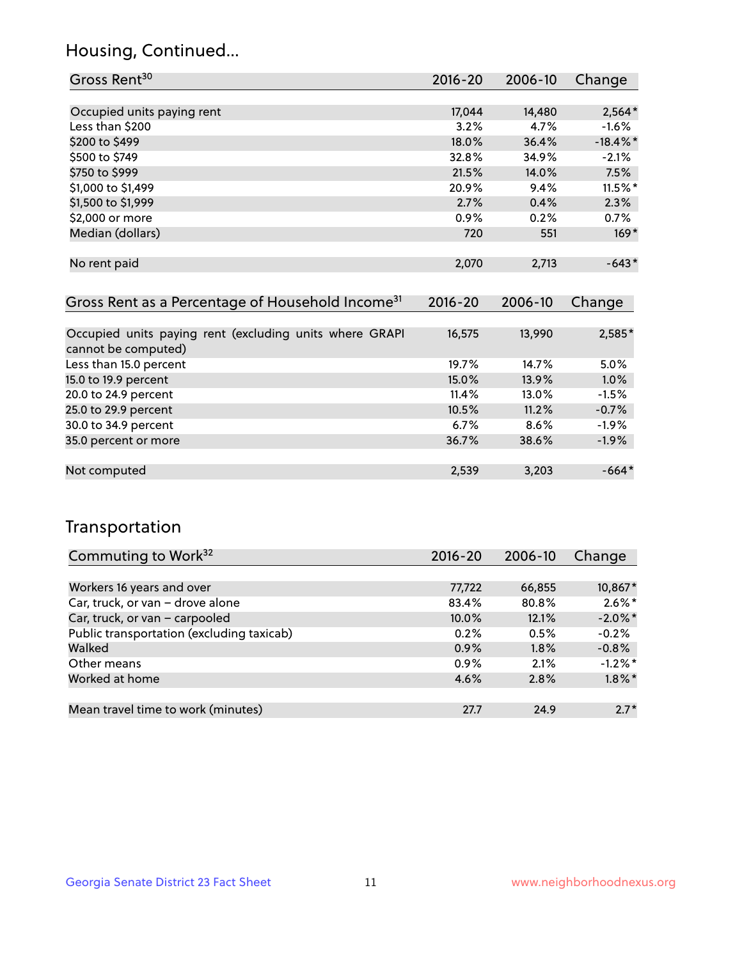## Housing, Continued...

| Gross Rent <sup>30</sup>                                                       | 2016-20              | 2006-10          | Change      |
|--------------------------------------------------------------------------------|----------------------|------------------|-------------|
|                                                                                |                      |                  |             |
| Occupied units paying rent                                                     | 17,044               | 14,480           | $2,564*$    |
| Less than \$200                                                                | 3.2%                 | 4.7%             | $-1.6%$     |
| \$200 to \$499                                                                 | 18.0%                | 36.4%            | $-18.4\%$ * |
| \$500 to \$749                                                                 | 32.8%                | 34.9%            | $-2.1%$     |
| \$750 to \$999                                                                 | 21.5%                | 14.0%            | 7.5%        |
| \$1,000 to \$1,499                                                             | 20.9%                | 9.4%             | $11.5\%$ *  |
| \$1,500 to \$1,999                                                             | 2.7%                 | 0.4%             | 2.3%        |
| \$2,000 or more                                                                | $0.9\%$              | 0.2%             | 0.7%        |
| Median (dollars)                                                               | 720                  | 551              | $169*$      |
| No rent paid<br>Gross Rent as a Percentage of Household Income <sup>31</sup>   | 2,070<br>$2016 - 20$ | 2,713<br>2006-10 | $-643*$     |
|                                                                                |                      |                  | Change      |
| Occupied units paying rent (excluding units where GRAPI<br>cannot be computed) | 16,575               | 13,990           | $2,585*$    |
| Less than 15.0 percent                                                         | 19.7%                | 14.7%            | 5.0%        |
| 15.0 to 19.9 percent                                                           | 15.0%                | 13.9%            | 1.0%        |
| 20.0 to 24.9 percent                                                           | 11.4%                | 13.0%            | $-1.5%$     |
| 25.0 to 29.9 percent                                                           | 10.5%                | 11.2%            | $-0.7%$     |
| 30.0 to 34.9 percent                                                           | 6.7%                 | 8.6%             | $-1.9\%$    |
| 35.0 percent or more                                                           | 36.7%                | 38.6%            | $-1.9%$     |
| Not computed                                                                   | 2,539                | 3,203            | $-664*$     |

## Transportation

| Commuting to Work <sup>32</sup>           | 2016-20 | 2006-10 | Change     |
|-------------------------------------------|---------|---------|------------|
|                                           |         |         |            |
| Workers 16 years and over                 | 77,722  | 66,855  | 10,867*    |
| Car, truck, or van - drove alone          | 83.4%   | 80.8%   | $2.6\%$ *  |
| Car, truck, or van - carpooled            | 10.0%   | 12.1%   | $-2.0\%$ * |
| Public transportation (excluding taxicab) | 0.2%    | 0.5%    | $-0.2%$    |
| Walked                                    | 0.9%    | 1.8%    | $-0.8%$    |
| Other means                               | $0.9\%$ | 2.1%    | $-1.2\%$ * |
| Worked at home                            | 4.6%    | 2.8%    | $1.8\%$ *  |
|                                           |         |         |            |
| Mean travel time to work (minutes)        | 27.7    | 24.9    | $2.7*$     |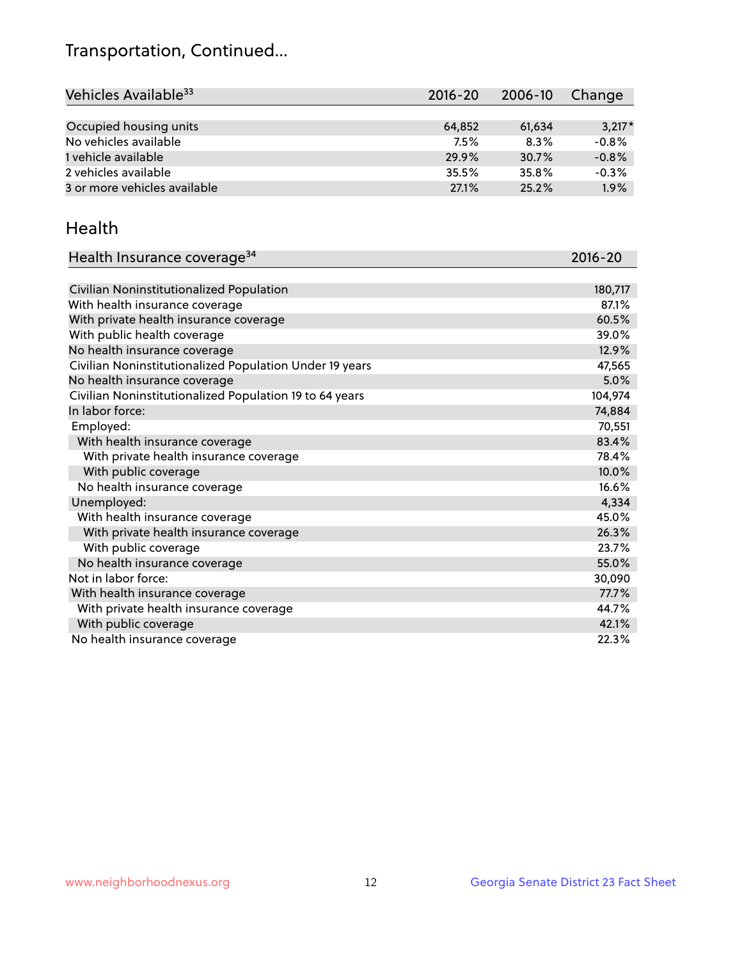## Transportation, Continued...

| Vehicles Available <sup>33</sup> | 2016-20 | 2006-10 | Change   |
|----------------------------------|---------|---------|----------|
|                                  |         |         |          |
| Occupied housing units           | 64,852  | 61,634  | $3,217*$ |
| No vehicles available            | 7.5%    | 8.3%    | $-0.8%$  |
| 1 vehicle available              | 29.9%   | 30.7%   | $-0.8%$  |
| 2 vehicles available             | 35.5%   | 35.8%   | $-0.3%$  |
| 3 or more vehicles available     | 27.1%   | 25.2%   | 1.9%     |

#### Health

| Health Insurance coverage <sup>34</sup>                 | 2016-20 |
|---------------------------------------------------------|---------|
|                                                         |         |
| Civilian Noninstitutionalized Population                | 180,717 |
| With health insurance coverage                          | 87.1%   |
| With private health insurance coverage                  | 60.5%   |
| With public health coverage                             | 39.0%   |
| No health insurance coverage                            | 12.9%   |
| Civilian Noninstitutionalized Population Under 19 years | 47,565  |
| No health insurance coverage                            | 5.0%    |
| Civilian Noninstitutionalized Population 19 to 64 years | 104,974 |
| In labor force:                                         | 74,884  |
| Employed:                                               | 70,551  |
| With health insurance coverage                          | 83.4%   |
| With private health insurance coverage                  | 78.4%   |
| With public coverage                                    | 10.0%   |
| No health insurance coverage                            | 16.6%   |
| Unemployed:                                             | 4,334   |
| With health insurance coverage                          | 45.0%   |
| With private health insurance coverage                  | 26.3%   |
| With public coverage                                    | 23.7%   |
| No health insurance coverage                            | 55.0%   |
| Not in labor force:                                     | 30,090  |
| With health insurance coverage                          | 77.7%   |
| With private health insurance coverage                  | 44.7%   |
| With public coverage                                    | 42.1%   |
| No health insurance coverage                            | 22.3%   |